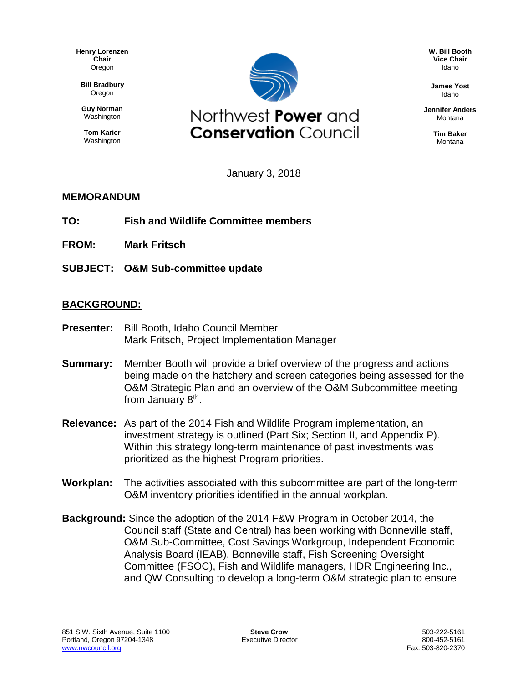**Henry Lorenzen Chair** Oregon

**Bill Bradbury** Oregon

**Guy Norman** Washington

**Tom Karier** Washington



**W. Bill Booth Vice Chair** Idaho

**James Yost** Idaho

**Jennifer Anders** Montana

> **Tim Baker** Montana

January 3, 2018

## **MEMORANDUM**

- **TO: Fish and Wildlife Committee members**
- **FROM: Mark Fritsch**
- **SUBJECT: O&M Sub-committee update**

## **BACKGROUND:**

- **Presenter:** Bill Booth, Idaho Council Member Mark Fritsch, Project Implementation Manager
- **Summary:** Member Booth will provide a brief overview of the progress and actions being made on the hatchery and screen categories being assessed for the O&M Strategic Plan and an overview of the O&M Subcommittee meeting from January 8<sup>th</sup>.
- **Relevance:** As part of the 2014 Fish and Wildlife Program implementation, an investment strategy is outlined (Part Six; Section II, and Appendix P). Within this strategy long-term maintenance of past investments was prioritized as the highest Program priorities.
- **Workplan:** The activities associated with this subcommittee are part of the long-term O&M inventory priorities identified in the annual workplan.
- **Background:** Since the adoption of the 2014 F&W Program in October 2014, the Council staff (State and Central) has been working with Bonneville staff, O&M Sub-Committee, Cost Savings Workgroup, Independent Economic Analysis Board (IEAB), Bonneville staff, Fish Screening Oversight Committee (FSOC), Fish and Wildlife managers, HDR Engineering Inc., and QW Consulting to develop a long-term O&M strategic plan to ensure